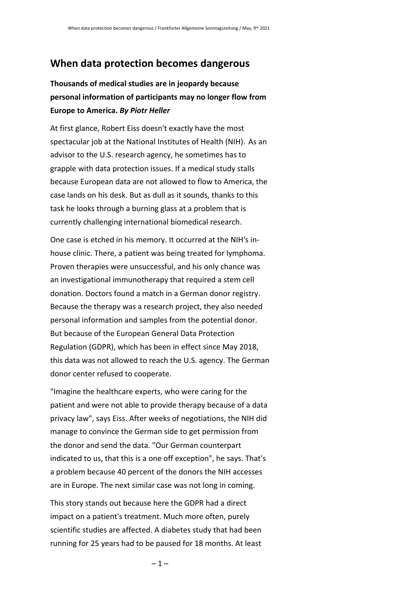## **When data protection becomes dangerous**

## **Thousands of medical studies are in jeopardy because personal information of participants may no longer flow from Europe to America.** *By Piotr Heller*

At first glance, Robert Eiss doesn't exactly have the most spectacular job at the National Institutes of Health (NIH).  As an advisor to the U.S. research agency, he sometimes has to grapple with data protection issues. If a medical study stalls because European data are not allowed to flow to America, the case lands on his desk. But as dull as it sounds, thanks to this task he looks through a burning glass at a problem that is currently challenging international biomedical research.

One case is etched in his memory. It occurred at the NIH's inhouse clinic. There, a patient was being treated for lymphoma. Proven therapies were unsuccessful, and his only chance was an investigational immunotherapy that required a stem cell donation. Doctors found a match in a German donor registry. Because the therapy was a research project, they also needed personal information and samples from the potential donor. But because of the European General Data Protection Regulation (GDPR), which has been in effect since May 2018, this data was not allowed to reach the U.S. agency. The German donor center refused to cooperate.

"Imagine the healthcare experts, who were caring for the patient and were not able to provide therapy because of a data privacy law", says Eiss. After weeks of negotiations, the NIH did manage to convince the German side to get permission from the donor and send the data. "Our German counterpart indicated to us, that this is a one off exception", he says. That's a problem because 40 percent of the donors the NIH accesses are in Europe. The next similar case was not long in coming.

This story stands out because here the GDPR had a direct impact on a patient's treatment. Much more often, purely scientific studies are affected. A diabetes study that had been running for 25 years had to be paused for 18 months. At least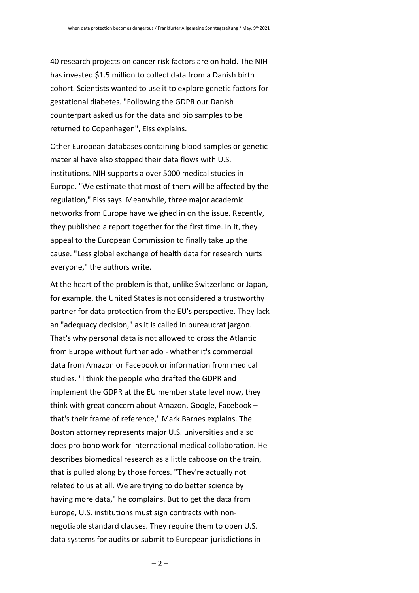40 research projects on cancer risk factors are on hold. The NIH has invested \$1.5 million to collect data from a Danish birth cohort. Scientists wanted to use it to explore genetic factors for gestational diabetes. "Following the GDPR our Danish counterpart asked us for the data and bio samples to be returned to Copenhagen", Eiss explains.

Other European databases containing blood samples or genetic material have also stopped their data flows with U.S. institutions. NIH supports a over 5000 medical studies in Europe. "We estimate that most of them will be affected by the regulation," Eiss says. Meanwhile, three major academic networks from Europe have weighed in on the issue. Recently, they published a report together for the first time. In it, they appeal to the European Commission to finally take up the cause. "Less global exchange of health data for research hurts everyone," the authors write.

At the heart of the problem is that, unlike Switzerland or Japan, for example, the United States is not considered a trustworthy partner for data protection from the EU's perspective. They lack an "adequacy decision," as it is called in bureaucrat jargon. That's why personal data is not allowed to cross the Atlantic from Europe without further ado - whether it's commercial data from Amazon or Facebook or information from medical studies. "I think the people who drafted the GDPR and implement the GDPR at the EU member state level now, they think with great concern about Amazon, Google, Facebook – that's their frame of reference," Mark Barnes explains. The Boston attorney represents major U.S. universities and also does pro bono work for international medical collaboration. He describes biomedical research as a little caboose on the train, that is pulled along by those forces. "They're actually not related to us at all. We are trying to do better science by having more data," he complains. But to get the data from Europe, U.S. institutions must sign contracts with nonnegotiable standard clauses. They require them to open U.S. data systems for audits or submit to European jurisdictions in

 $-2-$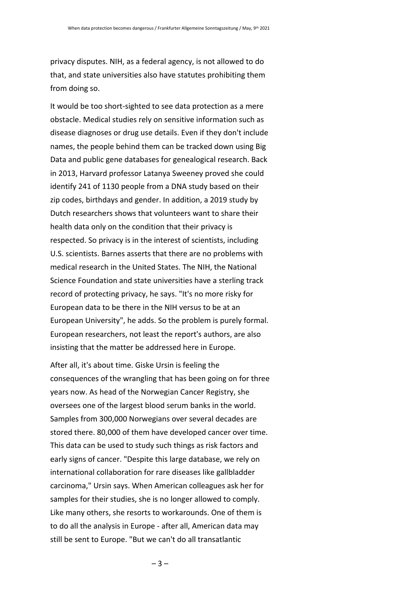privacy disputes. NIH, as a federal agency, is not allowed to do that, and state universities also have statutes prohibiting them from doing so.

It would be too short-sighted to see data protection as a mere obstacle. Medical studies rely on sensitive information such as disease diagnoses or drug use details. Even if they don't include names, the people behind them can be tracked down using Big Data and public gene databases for genealogical research. Back in 2013, Harvard professor Latanya Sweeney proved she could identify 241 of 1130 people from a DNA study based on their zip codes, birthdays and gender. In addition, a 2019 study by Dutch researchers shows that volunteers want to share their health data only on the condition that their privacy is respected. So privacy is in the interest of scientists, including U.S. scientists. Barnes asserts that there are no problems with medical research in the United States. The NIH, the National Science Foundation and state universities have a sterling track record of protecting privacy, he says. "It's no more risky for European data to be there in the NIH versus to be at an European University", he adds. So the problem is purely formal. European researchers, not least the report's authors, are also insisting that the matter be addressed here in Europe.

After all, it's about time. Giske Ursin is feeling the consequences of the wrangling that has been going on for three years now. As head of the Norwegian Cancer Registry, she oversees one of the largest blood serum banks in the world. Samples from 300,000 Norwegians over several decades are stored there. 80,000 of them have developed cancer over time. This data can be used to study such things as risk factors and early signs of cancer. "Despite this large database, we rely on international collaboration for rare diseases like gallbladder carcinoma," Ursin says. When American colleagues ask her for samples for their studies, she is no longer allowed to comply. Like many others, she resorts to workarounds. One of them is to do all the analysis in Europe - after all, American data may still be sent to Europe. "But we can't do all transatlantic

 $-3-$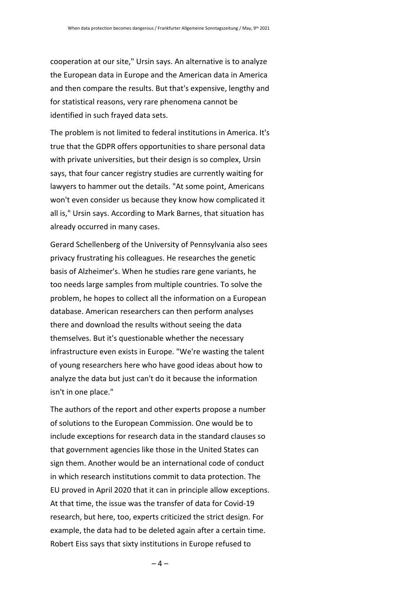cooperation at our site," Ursin says. An alternative is to analyze the European data in Europe and the American data in America and then compare the results. But that's expensive, lengthy and for statistical reasons, very rare phenomena cannot be identified in such frayed data sets.

The problem is not limited to federal institutions in America. It's true that the GDPR offers opportunities to share personal data with private universities, but their design is so complex, Ursin says, that four cancer registry studies are currently waiting for lawyers to hammer out the details. "At some point, Americans won't even consider us because they know how complicated it all is," Ursin says. According to Mark Barnes, that situation has already occurred in many cases.

Gerard Schellenberg of the University of Pennsylvania also sees privacy frustrating his colleagues. He researches the genetic basis of Alzheimer's. When he studies rare gene variants, he too needs large samples from multiple countries. To solve the problem, he hopes to collect all the information on a European database. American researchers can then perform analyses there and download the results without seeing the data themselves. But it's questionable whether the necessary infrastructure even exists in Europe. "We're wasting the talent of young researchers here who have good ideas about how to analyze the data but just can't do it because the information isn't in one place."

The authors of the report and other experts propose a number of solutions to the European Commission. One would be to include exceptions for research data in the standard clauses so that government agencies like those in the United States can sign them. Another would be an international code of conduct in which research institutions commit to data protection. The EU proved in April 2020 that it can in principle allow exceptions. At that time, the issue was the transfer of data for Covid-19 research, but here, too, experts criticized the strict design. For example, the data had to be deleted again after a certain time. Robert Eiss says that sixty institutions in Europe refused to